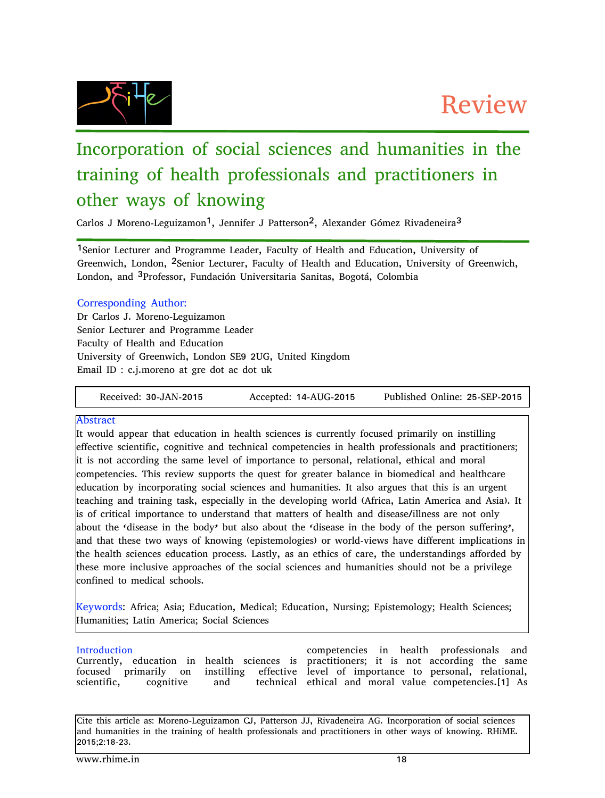

# Incorporation of social sciences and humanities in the training of health professionals and practitioners in other ways of knowing

Carlos J Moreno-Leguizamon<sup>1</sup>, Jennifer J Patterson<sup>2</sup>, Alexander Gómez Rivadeneira<sup>3</sup>

1Senior Lecturer and Programme Leader, Faculty of Health and Education, University of Greenwich, London, <sup>2</sup>Senior Lecturer, Faculty of Health and Education, University of Greenwich, London, and 3Professor, Fundación Universitaria Sanitas, Bogotá, Colombia

## Corresponding Author:

Dr Carlos J. Moreno-Leguizamon Senior Lecturer and Programme Leader Faculty of Health and Education University of Greenwich, London SE9 2UG, United Kingdom Email ID : c.j.moreno at gre dot ac dot uk

Received: 30-JAN-2015 Accepted: 14-AUG-2015 Published Online: 25-SEP-2015

## Abstract

It would appear that education in health sciences is currently focused primarily on instilling effective scientific, cognitive and technical competencies in health professionals and practitioners; it is not according the same level of importance to personal, relational, ethical and moral competencies. This review supports the quest for greater balance in biomedical and healthcare education by incorporating social sciences and humanities. It also argues that this is an urgent teaching and training task, especially in the developing world (Africa, Latin America and Asia). It is of critical importance to understand that matters of health and disease/illness are not only about the 'disease in the body' but also about the 'disease in the body of the person suffering', and that these two ways of knowing (epistemologies) or world-views have different implications in the health sciences education process. Lastly, as an ethics of care, the understandings afforded by these more inclusive approaches of the social sciences and humanities should not be a privilege confined to medical schools.

Keywords: Africa; Asia; Education, Medical; Education, Nursing; Epistemology; Health Sciences; Humanities; Latin America; Social Sciences

#### Introduction

Currently, education in health sciences is practitioners; it is not according the same focused primarily on scientific, cognitive and

competencies in health professionals and instilling effective level of importance to personal, relational, ethical and moral value competencies.[1] As

Cite this article as: Moreno-Leguizamon CJ, Patterson JJ, Rivadeneira AG. Incorporation of social sciences and humanities in the training of health professionals and practitioners in other ways of knowing. RHiME. 2015;2:18-23.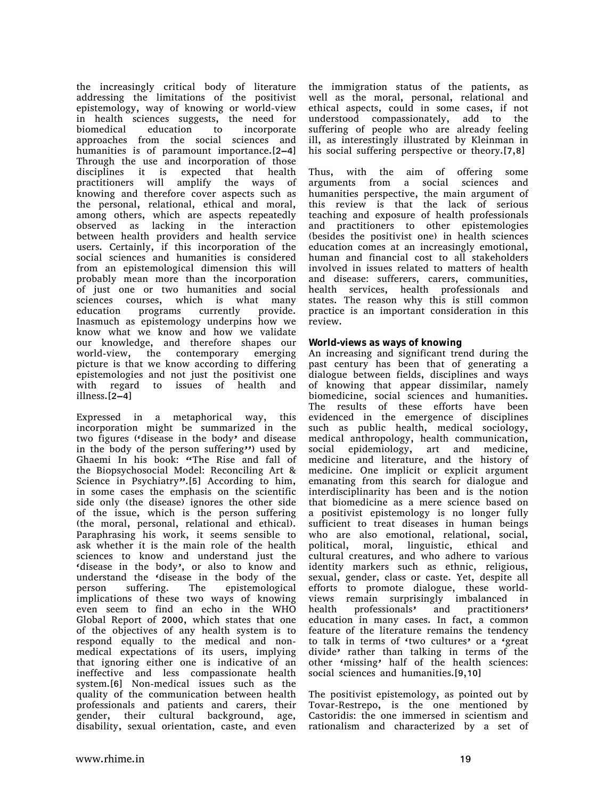the increasingly critical body of literature addressing the limitations of the positivist epistemology, way of knowing or world-view in health sciences suggests, the need for biomedical education to incorporate approaches from the social sciences and humanities is of paramount importance.[2–4] Through the use and incorporation of those disciplines it is expected that health practitioners will amplify the ways of knowing and therefore cover aspects such as the personal, relational, ethical and moral, among others, which are aspects repeatedly observed as lacking in the interaction between health providers and health service users. Certainly, if this incorporation of the social sciences and humanities is considered from an epistemological dimension this will probably mean more than the incorporation of just one or two humanities and social sciences courses, which is what many education programs currently provide. Inasmuch as epistemology underpins how we know what we know and how we validate our knowledge, and therefore shapes our world-view, the contemporary emerging picture is that we know according to differing epistemologies and not just the positivist one with regard to issues of health and illness.[2–4]

Expressed in a metaphorical way, this incorporation might be summarized in the two figures ('disease in the body' and disease in the body of the person suffering'') used by Ghaemi In his book: "The Rise and fall of the Biopsychosocial Model: Reconciling Art & Science in Psychiatry".[5] According to him, in some cases the emphasis on the scientific side only (the disease) ignores the other side of the issue, which is the person suffering (the moral, personal, relational and ethical). Paraphrasing his work, it seems sensible to ask whether it is the main role of the health sciences to know and understand just the 'disease in the body', or also to know and understand the 'disease in the body of the person suffering. The epistemological implications of these two ways of knowing even seem to find an echo in the WHO Global Report of 2000, which states that one of the objectives of any health system is to respond equally to the medical and nonmedical expectations of its users, implying that ignoring either one is indicative of an ineffective and less compassionate health system.[6] Non-medical issues such as the quality of the communication between health professionals and patients and carers, their gender, their cultural background, age, disability, sexual orientation, caste, and even

the immigration status of the patients, as well as the moral, personal, relational and ethical aspects, could in some cases, if not understood compassionately, add to the suffering of people who are already feeling ill, as interestingly illustrated by Kleinman in his social suffering perspective or theory.[7,8]

Thus, with the aim of offering some arguments from a social sciences and humanities perspective, the main argument of this review is that the lack of serious teaching and exposure of health professionals and practitioners to other epistemologies (besides the positivist one) in health sciences education comes at an increasingly emotional, human and financial cost to all stakeholders involved in issues related to matters of health and disease: sufferers, carers, communities, health services, health professionals and states. The reason why this is still common practice is an important consideration in this review.

#### **World-views** as ways of knowing

An increasing and significant trend during the past century has been that of generating a dialogue between fields, disciplines and ways of knowing that appear dissimilar, namely biomedicine, social sciences and humanities. The results of these efforts have been evidenced in the emergence of disciplines such as public health, medical sociology, medical anthropology, health communication, social epidemiology, art and medicine, medicine and literature, and the history of medicine. One implicit or explicit argument emanating from this search for dialogue and interdisciplinarity has been and is the notion that biomedicine as a mere science based on a positivist epistemology is no longer fully sufficient to treat diseases in human beings who are also emotional, relational, social, political, moral, linguistic, ethical and cultural creatures, and who adhere to various identity markers such as ethnic, religious, sexual, gender, class or caste. Yet, despite all efforts to promote dialogue, these worldviews remain surprisingly imbalanced in health professionals' and practitioners' education in many cases. In fact, a common feature of the literature remains the tendency to talk in terms of 'two cultures' or a 'great divide' rather than talking in terms of the other 'missing' half of the health sciences: social sciences and humanities.[9,10]

The positivist epistemology, as pointed out by Tovar-Restrepo, is the one mentioned by Castoridis: the one immersed in scientism and rationalism and characterized by a set of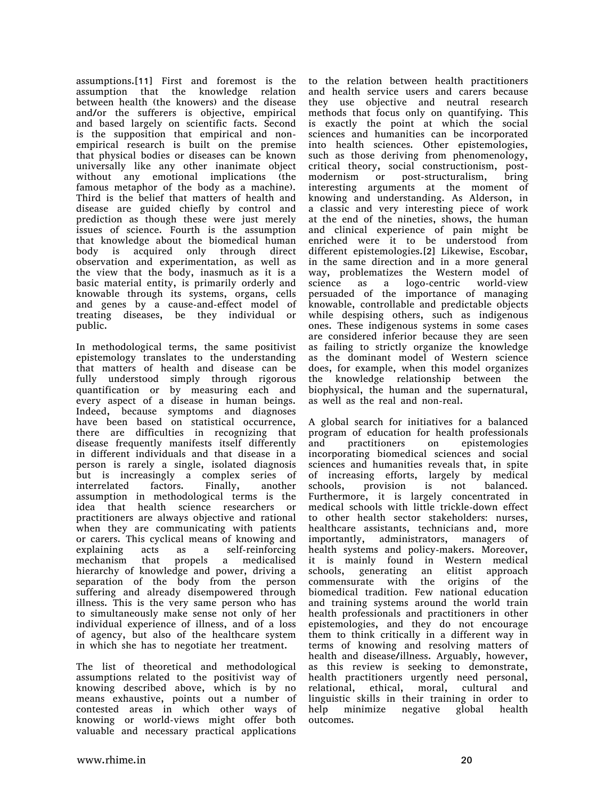assumptions.[11] First and foremost is the assumption that the knowledge relation between health (the knowers) and the disease and/or the sufferers is objective, empirical and based largely on scientific facts. Second is the supposition that empirical and nonempirical research is built on the premise that physical bodies or diseases can be known universally like any other inanimate object without any emotional implications (the famous metaphor of the body as a machine). Third is the belief that matters of health and disease are guided chiefly by control and prediction as though these were just merely issues of science. Fourth is the assumption that knowledge about the biomedical human body is acquired only through direct observation and experimentation, as well as the view that the body, inasmuch as it is a basic material entity, is primarily orderly and knowable through its systems, organs, cells and genes by a cause-and-effect model of treating diseases, be they individual or public.

In methodological terms, the same positivist epistemology translates to the understanding that matters of health and disease can be fully understood simply through rigorous quantification or by measuring each and every aspect of a disease in human beings. Indeed, because symptoms and diagnoses have been based on statistical occurrence, there are difficulties in recognizing that disease frequently manifests itself differently in different individuals and that disease in a person is rarely a single, isolated diagnosis but is increasingly a complex series of interrelated factors. Finally, another assumption in methodological terms is the idea that health science researchers or practitioners are always objective and rational when they are communicating with patients or carers. This cyclical means of knowing and explaining acts as a self-reinforcing mechanism that propels a medicalised hierarchy of knowledge and power, driving a separation of the body from the person suffering and already disempowered through illness. This is the very same person who has to simultaneously make sense not only of her individual experience of illness, and of a loss of agency, but also of the healthcare system in which she has to negotiate her treatment.

The list of theoretical and methodological assumptions related to the positivist way of knowing described above, which is by no means exhaustive, points out a number of contested areas in which other ways of knowing or world-views might offer both valuable and necessary practical applications

to the relation between health practitioners and health service users and carers because they use objective and neutral research methods that focus only on quantifying. This is exactly the point at which the social sciences and humanities can be incorporated into health sciences. Other epistemologies, such as those deriving from phenomenology, critical theory, social constructionism, postmodernism or post-structuralism, bring interesting arguments at the moment of knowing and understanding. As Alderson, in a classic and very interesting piece of work at the end of the nineties, shows, the human and clinical experience of pain might be enriched were it to be understood from different epistemologies.[2] Likewise, Escobar, in the same direction and in a more general way, problematizes the Western model of science as a logo-centric world-view persuaded of the importance of managing knowable, controllable and predictable objects while despising others, such as indigenous ones. These indigenous systems in some cases are considered inferior because they are seen as failing to strictly organize the knowledge as the dominant model of Western science does, for example, when this model organizes the knowledge relationship between the biophysical, the human and the supernatural, as well as the real and non-real.

A global search for initiatives for a balanced program of education for health professionals and practitioners on epistemologies incorporating biomedical sciences and social sciences and humanities reveals that, in spite of increasing efforts, largely by medical schools, provision is not balanced. Furthermore, it is largely concentrated in medical schools with little trickle-down effect to other health sector stakeholders: nurses, healthcare assistants, technicians and, more importantly, administrators, managers of health systems and policy-makers. Moreover, it is mainly found in Western medical schools, generating an elitist approach commensurate with the origins of the biomedical tradition. Few national education and training systems around the world train health professionals and practitioners in other epistemologies, and they do not encourage them to think critically in a different way in terms of knowing and resolving matters of health and disease/illness. Arguably, however, as this review is seeking to demonstrate, health practitioners urgently need personal, relational, ethical, moral, cultural and linguistic skills in their training in order to help minimize negative global health outcomes.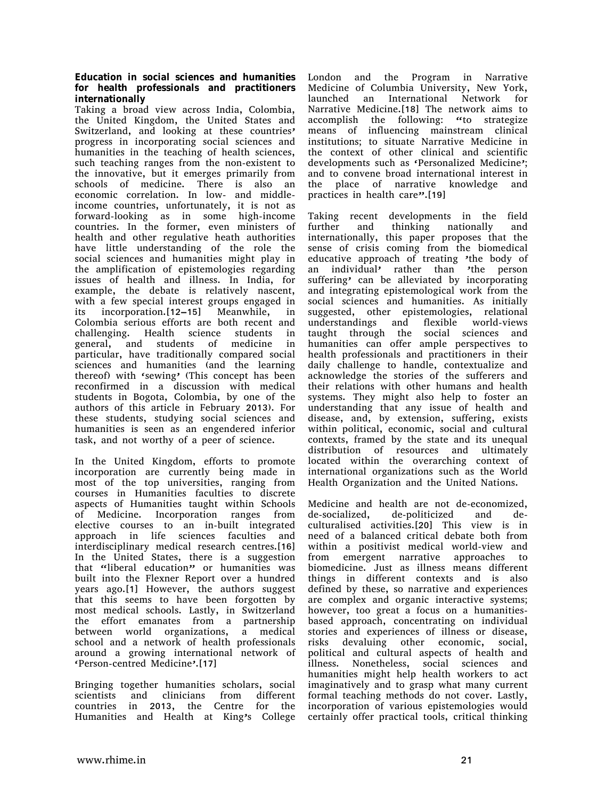**Education in social sciences and humanities for health professionals and practitioners internationally**

Taking a broad view across India, Colombia, the United Kingdom, the United States and Switzerland, and looking at these countries' progress in incorporating social sciences and humanities in the teaching of health sciences, such teaching ranges from the non-existent to the innovative, but it emerges primarily from schools of medicine. There is also an economic correlation. In low- and middleincome countries, unfortunately, it is not as forward-looking as in some high-income countries. In the former, even ministers of health and other regulative heath authorities have little understanding of the role the social sciences and humanities might play in the amplification of epistemologies regarding issues of health and illness. In India, for example, the debate is relatively nascent, with a few special interest groups engaged in its incorporation.[12–15] Meanwhile, in Colombia serious efforts are both recent and challenging. Health science students in general, and students of medicine in particular, have traditionally compared social sciences and humanities (and the learning thereof) with 'sewing' (This concept has been reconfirmed in a discussion with medical students in Bogota, Colombia, by one of the authors of this article in February 2013). For these students, studying social sciences and humanities is seen as an engendered inferior task, and not worthy of a peer of science.

In the United Kingdom, efforts to promote incorporation are currently being made in most of the top universities, ranging from courses in Humanities faculties to discrete aspects of Humanities taught within Schools of Medicine. Incorporation ranges from elective courses to an in-built integrated approach in life sciences faculties and interdisciplinary medical research centres.[16] In the United States, there is a suggestion that "liberal education" or humanities was built into the Flexner Report over a hundred years ago.[1] However, the authors suggest that this seems to have been forgotten by most medical schools. Lastly, in Switzerland the effort emanates from a partnership between world organizations, a medical school and a network of health professionals around a growing international network of 'Person-centred Medicine'.[17]

Bringing together humanities scholars, social scientists and clinicians from different countries in 2013, the Centre for the Humanities and Health at King's College London and the Program in Narrative Medicine of Columbia University, New York, launched an International Network for Narrative Medicine.[18] The network aims to accomplish the following: "to strategize means of influencing mainstream clinical institutions; to situate Narrative Medicine in the context of other clinical and scientific developments such as 'Personalized Medicine'; and to convene broad international interest in the place of narrative knowledge and practices in health care".[19]

Taking recent developments in the field further and thinking nationally and internationally, this paper proposes that the sense of crisis coming from the biomedical educative approach of treating 'the body of an individual' rather than 'the person suffering' can be alleviated by incorporating and integrating epistemological work from the social sciences and humanities. As initially suggested, other epistemologies, relational understandings and flexible world-views taught through the social sciences and humanities can offer ample perspectives to health professionals and practitioners in their daily challenge to handle, contextualize and acknowledge the stories of the sufferers and their relations with other humans and health systems. They might also help to foster an understanding that any issue of health and disease, and, by extension, suffering, exists within political, economic, social and cultural contexts, framed by the state and its unequal distribution of resources and ultimately located within the overarching context of international organizations such as the World Health Organization and the United Nations.

Medicine and health are not de-economized, de-socialized, de-politicized and deculturalised activities.[20] This view is in need of a balanced critical debate both from within a positivist medical world-view and from emergent narrative approaches to biomedicine. Just as illness means different things in different contexts and is also defined by these, so narrative and experiences are complex and organic interactive systems; however, too great a focus on a humanitiesbased approach, concentrating on individual stories and experiences of illness or disease, risks devaluing other economic, social, political and cultural aspects of health and illness. Nonetheless, social sciences and humanities might help health workers to act imaginatively and to grasp what many current formal teaching methods do not cover. Lastly, incorporation of various epistemologies would certainly offer practical tools, critical thinking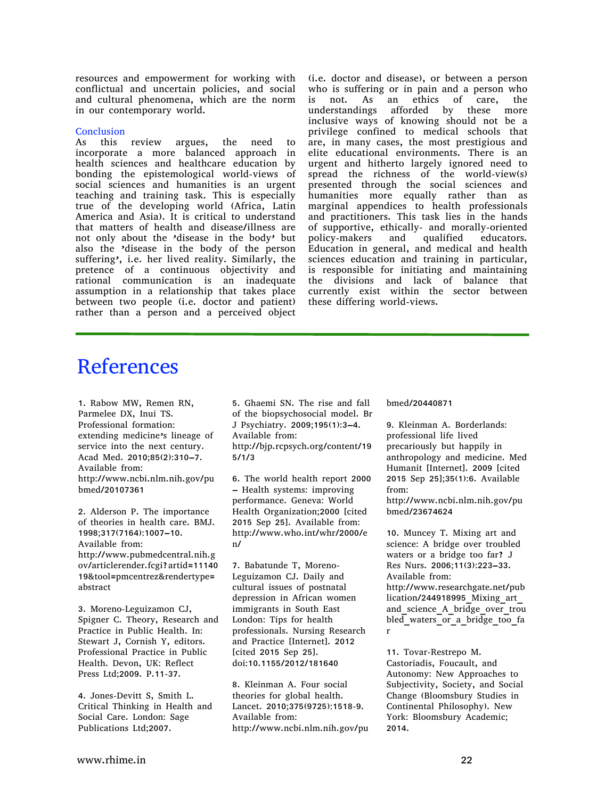resources and empowerment for working with conflictual and uncertain policies, and social and cultural phenomena, which are the norm in our contemporary world.

#### **Conclusion**

As this review argues, the need to incorporate a more balanced approach in health sciences and healthcare education by bonding the epistemological world-views of social sciences and humanities is an urgent teaching and training task. This is especially true of the developing world (Africa, Latin America and Asia). It is critical to understand that matters of health and disease/illness are not only about the 'disease in the body' but also the 'disease in the body of the person suffering', i.e. her lived reality. Similarly, the pretence of a continuous objectivity and rational communication is an inadequate assumption in a relationship that takes place between two people (i.e. doctor and patient) rather than a person and a perceived object

(i.e. doctor and disease), or between a person who is suffering or in pain and a person who is not. As an ethics of care, the understandings afforded by these more inclusive ways of knowing should not be a privilege confined to medical schools that are, in many cases, the most prestigious and elite educational environments. There is an urgent and hitherto largely ignored need to spread the richness of the world-view(s) presented through the social sciences and humanities more equally rather than as marginal appendices to health professionals and practitioners. This task lies in the hands of supportive, ethically- and morally-oriented policy-makers and qualified educators. Education in general, and medical and health sciences education and training in particular, is responsible for initiating and maintaining the divisions and lack of balance that currently exist within the sector between these differing world-views.

## **References**

1. Rabow MW, Remen RN, Parmelee DX, Inui TS. Professional formation: extending medicine's lineage of service into the next century. Acad Med. 2010;85(2):310–7. Available from: http://www.ncbi.nlm.nih.gov/pu bmed/20107361

2. Alderson P. The importance of theories in health care. BMJ. 1998;317(7164):1007–10. Available from: http://www.pubmedcentral.nih.g ov/articlerender.fcgi?artid=11140 19&tool=pmcentrez&rendertype= abstract

3. Moreno-Leguizamon CJ, Spigner C. Theory, Research and Practice in Public Health. In: Stewart J, Cornish Y, editors. Professional Practice in Public Health. Devon, UK: Reflect Press Ltd;2009. P.11-37.

4. Jones-Devitt S, Smith L. Critical Thinking in Health and Social Care. London: Sage Publications Ltd;2007.

5. Ghaemi SN. The rise and fall of the biopsychosocial model. Br J Psychiatry. 2009;195(1):3–4. Available from: http://bjp.rcpsych.org/content/19 5/1/3

6. The world health report 2000 – Health systems: improving performance. Geneva: World Health Organization;2000 [cited 2015 Sep 25]. Available from: http://www.who.int/whr/2000/e n/

7. Babatunde T, Moreno-Leguizamon CJ. Daily and cultural issues of postnatal depression in African women immigrants in South East London: Tips for health professionals. Nursing Research and Practice [Internet]. 2012 [cited 2015 Sep 25]. doi:10.1155/2012/181640

8. Kleinman A. Four social theories for global health. Lancet. 2010;375(9725):1518-9. Available from: http://www.ncbi.nlm.nih.gov/pu bmed/20440871

9. Kleinman A. Borderlands: professional life lived precariously but happily in anthropology and medicine. Med Humanit [Internet]. 2009 [cited 2015 Sep 25];35(1):6. Available from: http://www.ncbi.nlm.nih.gov/pu

bmed/23674624

10. Muncey T. Mixing art and science: A bridge over troubled waters or a bridge too far? J Res Nurs. 2006;11(3):223–33. Available from: http://www.researchgate.net/pub lication/244918995 Mixing art and science A bridge over trou bled\_waters\_or\_a\_bridge\_too\_fa r

11. Tovar-Restrepo M. Castoriadis, Foucault, and Autonomy: New Approaches to Subjectivity, Society, and Social Change (Bloomsbury Studies in Continental Philosophy). New York: Bloomsbury Academic; 2014.